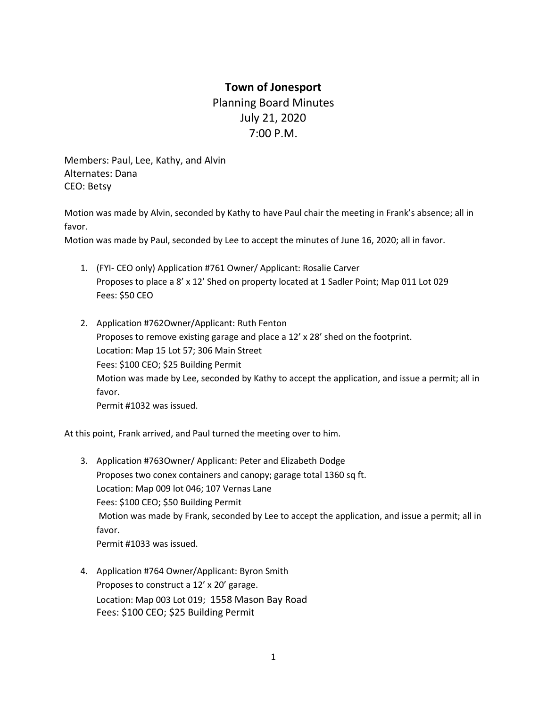## **Town of Jonesport**

Planning Board Minutes July 21, 2020 7:00 P.M.

Members: Paul, Lee, Kathy, and Alvin Alternates: Dana CEO: Betsy

Motion was made by Alvin, seconded by Kathy to have Paul chair the meeting in Frank's absence; all in favor.

Motion was made by Paul, seconded by Lee to accept the minutes of June 16, 2020; all in favor.

- 1. (FYI- CEO only) Application #761 Owner/ Applicant: Rosalie Carver Proposes to place a 8' x 12' Shed on property located at 1 Sadler Point; Map 011 Lot 029 Fees: \$50 CEO
- 2. Application #762Owner/Applicant: Ruth Fenton Proposes to remove existing garage and place a 12' x 28' shed on the footprint. Location: Map 15 Lot 57; 306 Main Street Fees: \$100 CEO; \$25 Building Permit Motion was made by Lee, seconded by Kathy to accept the application, and issue a permit; all in favor. Permit #1032 was issued.

At this point, Frank arrived, and Paul turned the meeting over to him.

- 3. Application #763Owner/ Applicant: Peter and Elizabeth Dodge Proposes two conex containers and canopy; garage total 1360 sq ft. Location: Map 009 lot 046; 107 Vernas Lane Fees: \$100 CEO; \$50 Building Permit Motion was made by Frank, seconded by Lee to accept the application, and issue a permit; all in favor. Permit #1033 was issued.
- 4. Application #764 Owner/Applicant: Byron Smith Proposes to construct a 12' x 20' garage. Location: Map 003 Lot 019; 1558 Mason Bay Road Fees: \$100 CEO; \$25 Building Permit